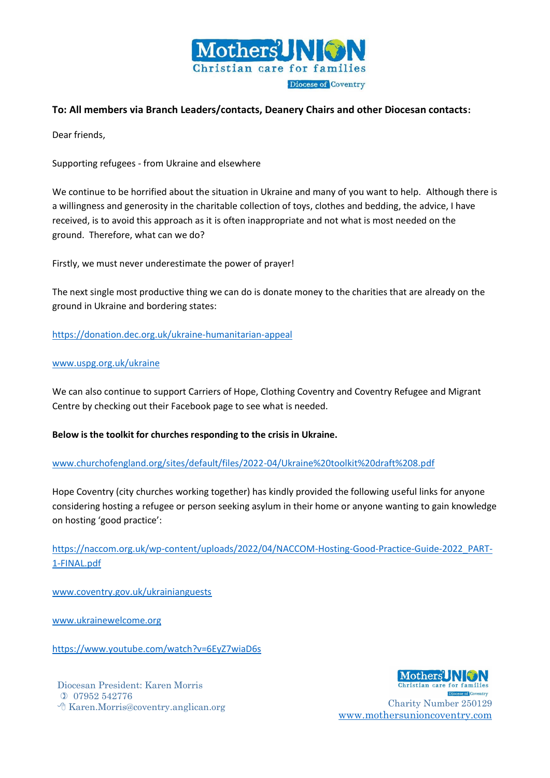

# **To: All members via Branch Leaders/contacts, Deanery Chairs and other Diocesan contacts:**

Dear friends,

Supporting refugees - from Ukraine and elsewhere

We continue to be horrified about the situation in Ukraine and many of you want to help. Although there is a willingness and generosity in the charitable collection of toys, clothes and bedding, the advice, I have received, is to avoid this approach as it is often inappropriate and not what is most needed on the ground. Therefore, what can we do?

Firstly, we must never underestimate the power of prayer!

The next single most productive thing we can do is donate money to the charities that are already on the ground in Ukraine and bordering states:

<https://donation.dec.org.uk/ukraine-humanitarian-appeal>

## [www.uspg.org.uk/ukraine](http://www.uspg.org.uk/ukraine)

We can also continue to support Carriers of Hope, Clothing Coventry and Coventry Refugee and Migrant Centre by checking out their Facebook page to see what is needed.

## **Below is the toolkit for churches responding to the crisis in Ukraine.**

## [www.churchofengland.org/sites/default/files/2022-04/Ukraine%20toolkit%20draft%208.pdf](http://www.churchofengland.org/sites/default/files/2022-04/Ukraine%20toolkit%20draft%208.pdf)

Hope Coventry (city churches working together) has kindly provided the following useful links for anyone considering hosting a refugee or person seeking asylum in their home or anyone wanting to gain knowledge on hosting 'good practice':

[https://naccom.org.uk/wp-content/uploads/2022/04/NACCOM-Hosting-Good-Practice-Guide-2022\\_PART-](https://naccom.org.uk/wp-content/uploads/2022/04/NACCOM-Hosting-Good-Practice-Guide-2022_PART-1-FINAL.pdf)[1-FINAL.pdf](https://naccom.org.uk/wp-content/uploads/2022/04/NACCOM-Hosting-Good-Practice-Guide-2022_PART-1-FINAL.pdf)

[www.coventry.gov.uk/ukrainianguests](http://www.coventry.gov.uk/ukrainianguests)

[www.ukrainewelcome.org](http://www.ukrainewelcome.org/)

<https://www.youtube.com/watch?v=6EyZ7wiaD6s>

Diocesan President: Karen Morris 07952 542776 <sup>6</sup> Karen.Morris@coventry.anglican.org Charity Number 250129



**Diocese of Coventry** [www.mothersunioncoventry.com](http://www.mothersunioncoventry.com/)